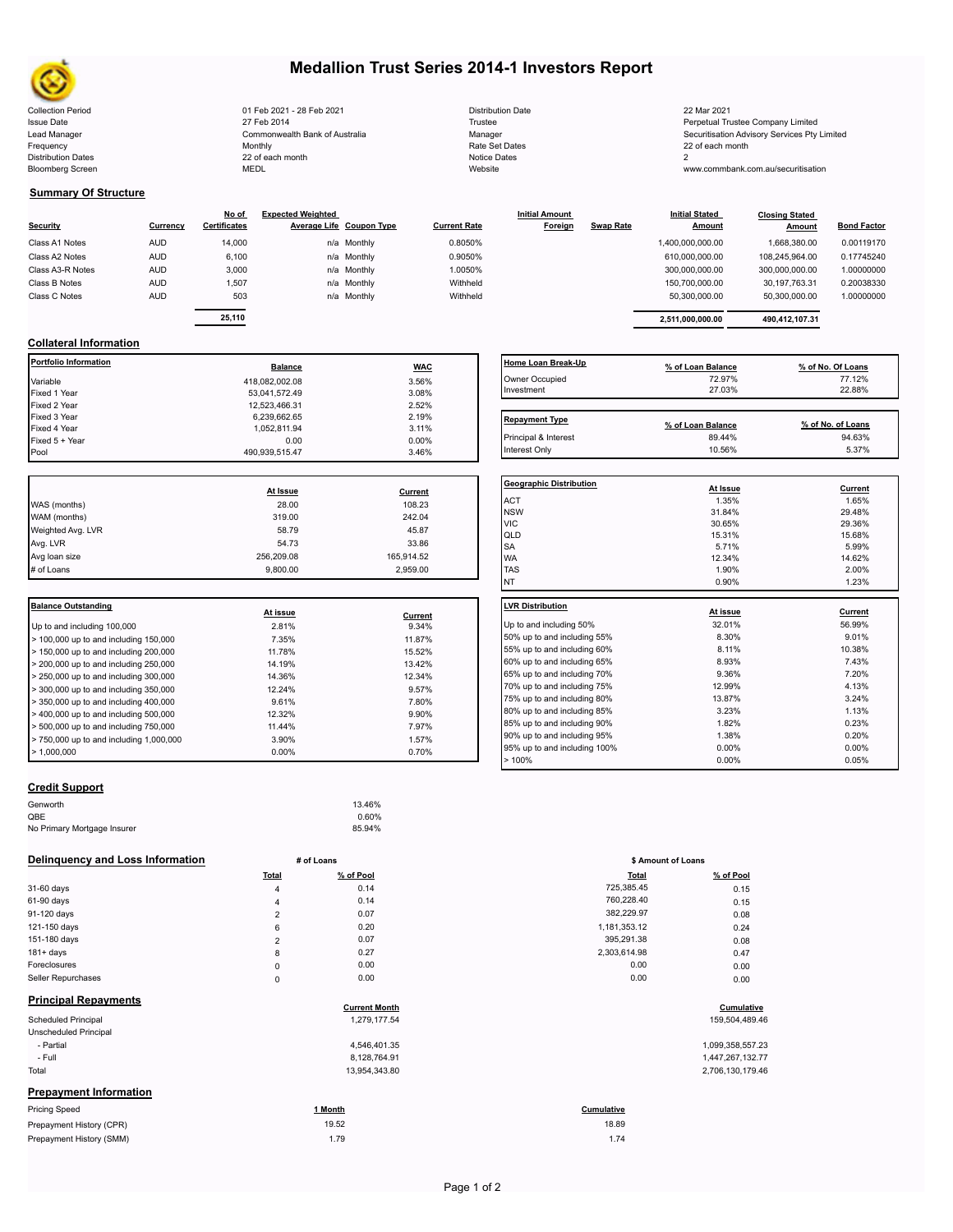

Bloomberg Screen

# **Medallion Trust Series 2014-1 Investors Report**

Collection Period Distribution Date 22 Mar 2021 01 Feb 2021 - 28 Feb 2021 Issue Date **Trustee Company Limited** 27 Feb 2014 27 Feb 2014 **Trustee Trustee Company Limited** Perpetual Trustee Company Limited Lead Manager **Manager** Manager Securitisation Advisory Services Pty Limited Commonwealth Bank of Australia Manager Manager Securitisation Advisory Services Pty Limited Frequency 22 of each month Monthly Monthly Rate Set Dates Rate Set Dates 22 of each month Distribution Dates **Notice 2** and the control of the 22 of each month **Notice Dates** Notice Dates 2 27 Feb 2014 Commonwealth Bank of Australia Monthly 22 of each month

| <b>Distribution Date</b> |
|--------------------------|
| Trustee                  |
| Manager                  |
| Rate Set Dates           |
| Notice Dates             |
| Website                  |

www.commbank.com.au/securitisation

## **Summary Of Structure**

| <b>Security</b>  | Currency   | No of<br><b>Certificates</b> | <b>Expected Weighted</b> | <b>Average Life Coupon Type</b> | <b>Current Rate</b> | <b>Initial Amount</b><br>Foreign | <b>Swap Rate</b> | <b>Initial Stated</b><br><b>Amount</b> | <b>Closing Stated</b><br>Amount | <b>Bond Factor</b> |
|------------------|------------|------------------------------|--------------------------|---------------------------------|---------------------|----------------------------------|------------------|----------------------------------------|---------------------------------|--------------------|
| Class A1 Notes   | <b>AUD</b> | 14,000                       |                          | n/a Monthly                     | 0.8050%             |                                  |                  | 1,400,000,000.00                       | 1.668.380.00                    | 0.00119170         |
| Class A2 Notes   | <b>AUD</b> | 6,100                        |                          | n/a Monthly                     | 0.9050%             |                                  |                  | 610.000.000.00                         | 108.245.964.00                  | 0.17745240         |
| Class A3-R Notes | <b>AUD</b> | 3,000                        |                          | n/a Monthly                     | 1.0050%             |                                  |                  | 300.000.000.00                         | 300,000,000.00                  | 1.00000000         |
| Class B Notes    | <b>AUD</b> | 1.507                        |                          | n/a Monthly                     | Withheld            |                                  |                  | 150.700.000.00                         | 30.197.763.31                   | 0.20038330         |
| Class C Notes    | <b>AUD</b> | 503                          |                          | n/a Monthly                     | Withheld            |                                  |                  | 50.300.000.00                          | 50,300,000.00                   | 1.00000000         |
|                  |            | 25,110                       |                          |                                 |                     |                                  |                  | 2.511.000.000.00                       | 490,412,107.31                  |                    |

| Rate | <b>Initial Stated</b><br>Amount | <b>Closing Stated</b><br>Amount | Bond Fa |
|------|---------------------------------|---------------------------------|---------|
|      | 1.400.000.000.00                | 1.668.380.00                    | 0.00119 |
|      | 610.000.000.00                  | 108.245.964.00                  | 0.17745 |
|      | 300.000.000.00                  | 300.000.000.00                  | 1.00000 |

# **Collateral Information**

| Portfolio Information | <b>Balance</b> | <b>WAC</b> | Home Loan Break-Up    | % of Loan Balance | % of No. Of Loans |
|-----------------------|----------------|------------|-----------------------|-------------------|-------------------|
| Variable              | 418,082,002.08 | 3.56%      | Owner Occupied        | 72.97%            | 77.12%            |
| Fixed 1 Year          | 53,041,572.49  | 3.08%      | Investment            | 27.03%            | 22.88%            |
| Fixed 2 Year          | 12.523.466.31  | 2.52%      |                       |                   |                   |
| Fixed 3 Year          | 6,239,662.65   | 2.19%      | <b>Repayment Type</b> |                   |                   |
| Fixed 4 Year          | 1,052,811.94   | 3.11%      |                       | % of Loan Balance | % of No. of Loans |
| Fixed 5 + Year        | 0.00           | 0.00%      | Principal & Interest  | 89.44%            | 94.63%            |
| Pool                  | 490.939.515.47 | 3.46%      | Interest Only         | 10.56%            | 5.37%             |

|                   |            |            | Geo              |
|-------------------|------------|------------|------------------|
|                   | At Issue   | Current    |                  |
| WAS (months)      | 28.00      | 108.23     | AC <sup>-</sup>  |
| WAM (months)      | 319.00     | 242.04     | <b>NS</b><br>VIC |
| Weighted Avg. LVR | 58.79      | 45.87      | loli             |
| Avg. LVR          | 54.73      | 33.86      | <b>SA</b>        |
| Avg loan size     | 256.209.08 | 165,914.52 | <b>WA</b>        |
| # of Loans        | 9,800.00   | 2,959.00   | <b>TAS</b>       |
|                   |            |            |                  |

| Balance Outstanding                          | At issue | Current | LVR Distribution    |
|----------------------------------------------|----------|---------|---------------------|
| Up to and including 100,000                  | 2.81%    | 9.34%   | Up to and including |
| $>$ 100,000 up to and including 150,000      | 7.35%    | 11.87%  | 50% up to and incl  |
| $>$ 150,000 up to and including 200,000      | 11.78%   | 15.52%  | 55% up to and incl  |
| $>$ 200,000 up to and including 250,000      | 14.19%   | 13.42%  | 60% up to and incl  |
| $\geq$ 250,000 up to and including 300,000   | 14.36%   | 12.34%  | 65% up to and incl  |
| $\geq$ 300,000 up to and including 350,000   | 12.24%   | 9.57%   | 70% up to and incl  |
| $>$ 350,000 up to and including 400,000      | 9.61%    | 7.80%   | 75% up to and incl  |
| $>$ 400,000 up to and including 500,000      | 12.32%   | 9.90%   | 80% up to and incl  |
| $\geq 500,000$ up to and including 750,000   | 11.44%   | 7.97%   | 85% up to and incl  |
| $\geq 750.000$ up to and including 1.000.000 | 3.90%    | 1.57%   | 90% up to and incl  |
| $\blacktriangleright$ 1.000.000              | $0.00\%$ | 0.70%   | 95% up to and incl  |
|                                              |          |         |                     |

# **Home Loan Break-Up % of Loan Balance % of No. Of Loans** Owner Occupied 72.97% 77.12% 77.12% 77.12% 77.12% Investment 27.03% 22.88% Repayment Type **Repayment Type % of Loan Balance % of No. of Loans**

| <b>Geographic Distribution</b> | At Issue | Current |
|--------------------------------|----------|---------|
| <b>ACT</b>                     | 1.35%    | 1.65%   |
| <b>NSW</b>                     | 31.84%   | 29.48%  |
| <b>VIC</b>                     | 30.65%   | 29.36%  |
| QLD                            | 15.31%   | 15.68%  |
| <b>SA</b>                      | 5.71%    | 5.99%   |
| <b>WA</b>                      | 12.34%   | 14.62%  |
| <b>TAS</b>                     | 1.90%    | 2.00%   |
| <b>NT</b>                      | 0.90%    | 1.23%   |
| <b>LVR Distribution</b>        |          |         |
|                                | At issue | Current |
| Up to and including 50%        | 32.01%   | 56.99%  |
| 50% up to and including 55%    | 8.30%    | 9.01%   |
| 55% up to and including 60%    | 8.11%    | 10.38%  |
| 60% up to and including 65%    | 8.93%    | 7.43%   |
| 65% up to and including 70%    | 9.36%    | 7.20%   |
| 70% up to and including 75%    | 12.99%   | 4.13%   |
| 75% up to and including 80%    | 13.87%   | 3.24%   |
| 80% up to and including 85%    | 3.23%    | 1.13%   |
| 85% up to and including 90%    | 1.82%    | 0.23%   |
| 90% up to and including 95%    | 1.38%    | 0.20%   |
| 95% up to and including 100%   | 0.00%    | 0.00%   |
| >100%                          | 0.00%    | 0.05%   |

## **Credit Support**

| Genworth                    | 13.46% |
|-----------------------------|--------|
| QBE                         | 0.60%  |
| No Primary Mortgage Insurer | 85.94% |
|                             |        |

## **Delinquency and Loss Information # of Loans**

|                               | <b>Total</b>   | % of Pool            | <b>Total</b> | % of Pool        |
|-------------------------------|----------------|----------------------|--------------|------------------|
| 31-60 days                    | $\overline{4}$ | 0.14                 | 725,385.45   | 0.15             |
| 61-90 days                    | 4              | 0.14                 | 760,228.40   | 0.15             |
| 91-120 days                   | $\overline{2}$ | 0.07                 | 382,229.97   | 0.08             |
| 121-150 days                  | 6              | 0.20                 | 1,181,353.12 | 0.24             |
| 151-180 days                  | $\overline{2}$ | 0.07                 | 395,291.38   | 0.08             |
| $181 + days$                  | 8              | 0.27                 | 2,303,614.98 | 0.47             |
| Foreclosures                  | 0              | 0.00                 | 0.00         | 0.00             |
| Seller Repurchases            | 0              | 0.00                 | 0.00         | 0.00             |
| <b>Principal Repayments</b>   |                | <b>Current Month</b> |              | Cumulative       |
| Scheduled Principal           |                | 1,279,177.54         |              | 159,504,489.46   |
| Unscheduled Principal         |                |                      |              |                  |
| - Partial                     |                | 4,546,401.35         |              | 1,099,358,557.23 |
| - Full                        |                | 8,128,764.91         |              | 1,447,267,132.77 |
| Total                         |                | 13,954,343.80        |              | 2,706,130,179.46 |
| <b>Prepayment Information</b> |                |                      |              |                  |
| <b>Pricing Speed</b>          |                | 1 Month              | Cumulative   |                  |
| Prepayment History (CPR)      |                | 19.52                | 18.89        |                  |
| Prepayment History (SMM)      |                | 1.79                 | 1.74         |                  |

|                | # of Loans | \$ Amount of Loans |           |  |
|----------------|------------|--------------------|-----------|--|
| Total          | % of Pool  | <b>Total</b>       | % of Pool |  |
| 4              | 0.14       | 725,385.45         | 0.15      |  |
| 4              | 0.14       | 760,228.40         | 0.15      |  |
| $\overline{2}$ | 0.07       | 382,229.97         | 0.08      |  |
| 6              | 0.20       | 1,181,353.12       | 0.24      |  |
| $\overline{2}$ | 0.07       | 395,291.38         | 0.08      |  |
| 8              | 0.27       | 2,303,614.98       | 0.47      |  |
| 0              | 0.00       | 0.00               | 0.00      |  |
| 0              | 0.00       | 0.00               | 0.00      |  |

# **Cumulative**<br>54. 159,504,489.46